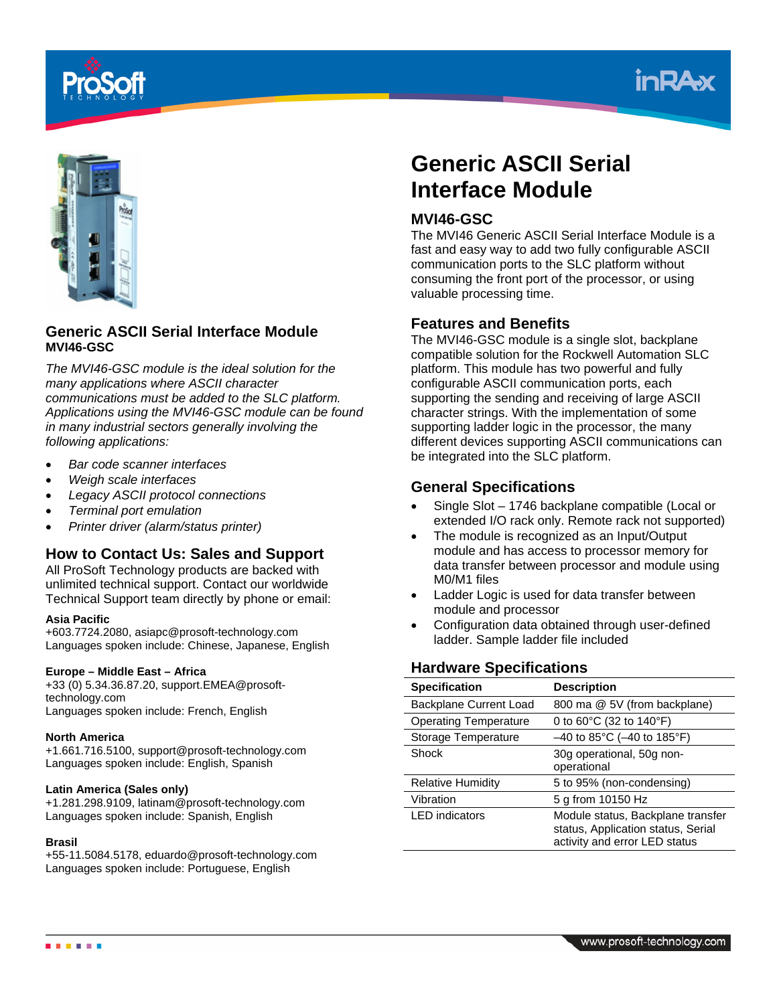





## **Generic ASCII Serial Interface Module MVI46-GSC**

*The MVI46-GSC module is the ideal solution for the many applications where ASCII character communications must be added to the SLC platform. Applications using the MVI46-GSC module can be found in many industrial sectors generally involving the following applications:* 

- *Bar code scanner interfaces*
- *Weigh scale interfaces*
- *Legacy ASCII protocol connections*
- *Terminal port emulation*
- *Printer driver (alarm/status printer)*

# **How to Contact Us: Sales and Support**

All ProSoft Technology products are backed with unlimited technical support. Contact our worldwide Technical Support team directly by phone or email:

#### **Asia Pacific**

+603.7724.2080, asiapc@prosoft-technology.com Languages spoken include: Chinese, Japanese, English

#### **Europe – Middle East – Africa**

+33 (0) 5.34.36.87.20, support.EMEA@prosofttechnology.com Languages spoken include: French, English

#### **North America**

+1.661.716.5100, support@prosoft-technology.com Languages spoken include: English, Spanish

#### **Latin America (Sales only)**

+1.281.298.9109, latinam@prosoft-technology.com Languages spoken include: Spanish, English

#### **Brasil**

. . . . .

+55-11.5084.5178, eduardo@prosoft-technology.com Languages spoken include: Portuguese, English

# **Generic ASCII Serial Interface Module**

## **MVI46-GSC**

The MVI46 Generic ASCII Serial Interface Module is a fast and easy way to add two fully configurable ASCII communication ports to the SLC platform without consuming the front port of the processor, or using valuable processing time.

## **Features and Benefits**

The MVI46-GSC module is a single slot, backplane compatible solution for the Rockwell Automation SLC platform. This module has two powerful and fully configurable ASCII communication ports, each supporting the sending and receiving of large ASCII character strings. With the implementation of some supporting ladder logic in the processor, the many different devices supporting ASCII communications can be integrated into the SLC platform.

## **General Specifications**

- Single Slot 1746 backplane compatible (Local or extended I/O rack only. Remote rack not supported)
- The module is recognized as an Input/Output module and has access to processor memory for data transfer between processor and module using M0/M1 files
- Ladder Logic is used for data transfer between module and processor
- Configuration data obtained through user-defined ladder. Sample ladder file included

## **Hardware Specifications**

| <b>Specification</b>         | <b>Description</b>                                                                                       |
|------------------------------|----------------------------------------------------------------------------------------------------------|
| Backplane Current Load       | 800 ma @ 5V (from backplane)                                                                             |
| <b>Operating Temperature</b> | 0 to $60^{\circ}$ C (32 to 140 $^{\circ}$ F)                                                             |
| Storage Temperature          | $-40$ to 85°C ( $-40$ to 185°F)                                                                          |
| Shock                        | 30g operational, 50g non-<br>operational                                                                 |
| <b>Relative Humidity</b>     | 5 to 95% (non-condensing)                                                                                |
| Vibration                    | 5 g from 10150 Hz                                                                                        |
| <b>LED</b> indicators        | Module status, Backplane transfer<br>status, Application status, Serial<br>activity and error LED status |